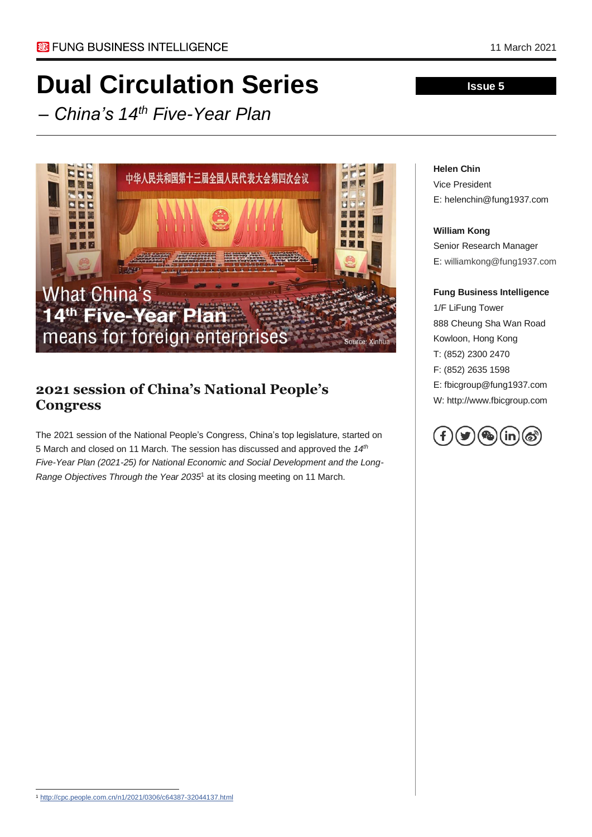# **Dual Circulation Series**

*– China's 14th Five-Year Plan*



### **2021 session of China's National People's Congress**

The 2021 session of the National People's Congress, China's top legislature, started on 5 March and closed on 11 March. The session has discussed and approved the *14th Five-Year Plan (2021-25) for National Economic and Social Development and the Long-Range Objectives Through the Year 2035*<sup>1</sup> at its closing meeting on 11 March.

# **Helen Chin**

Vice President E: helenchin@fung1937.com

**Issue 5**

#### **William Kong**

Senior Research Manager E: williamkong@fung1937.com

#### **Fung Business Intelligence**

1/F LiFung Tower 888 Cheung Sha Wan Road Kowloon, Hong Kong T: (852) 2300 2470 F: (852) 2635 1598 E: fbicgroup@fung1937.com W: http://www.fbicgroup.com



<sup>1</sup> <http://cpc.people.com.cn/n1/2021/0306/c64387-32044137.html>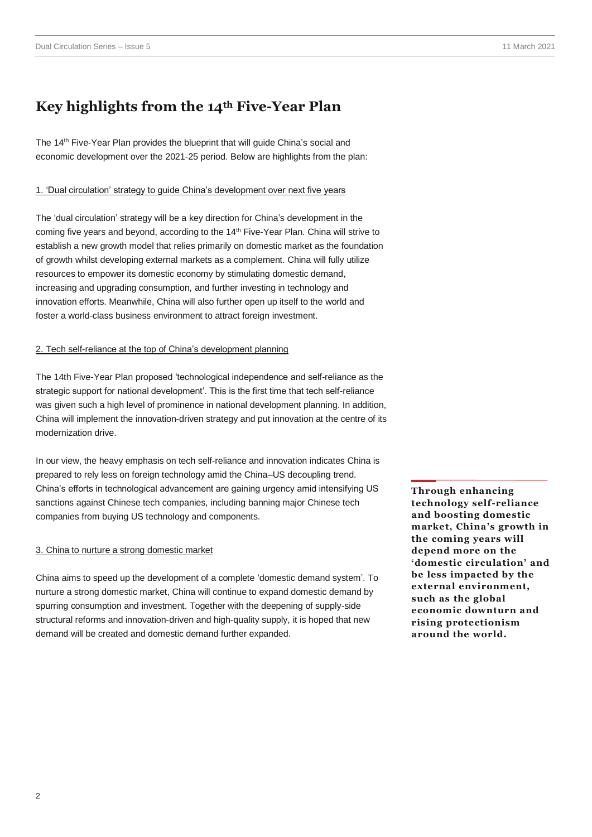## **Key highlights from the 14th Five-Year Plan**

The 14<sup>th</sup> Five-Year Plan provides the blueprint that will guide China's social and economic development over the 2021-25 period. Below are highlights from the plan:

#### 1. 'Dual circulation' strategy to guide China's development over next five years

The 'dual circulation' strategy will be a key direction for China's development in the coming five years and beyond, according to the 14<sup>th</sup> Five-Year Plan. China will strive to establish a new growth model that relies primarily on domestic market as the foundation of growth whilst developing external markets as a complement. China will fully utilize resources to empower its domestic economy by stimulating domestic demand, increasing and upgrading consumption, and further investing in technology and innovation efforts. Meanwhile, China will also further open up itself to the world and foster a world-class business environment to attract foreign investment.

#### 2. Tech self-reliance at the top of China's development planning

The 14th Five-Year Plan proposed 'technological independence and self-reliance as the strategic support for national development'. This is the first time that tech self-reliance was given such a high level of prominence in national development planning. In addition, China will implement the innovation-driven strategy and put innovation at the centre of its modernization drive.

In our view, the heavy emphasis on tech self-reliance and innovation indicates China is prepared to rely less on foreign technology amid the China–US decoupling trend. China's efforts in technological advancement are gaining urgency amid intensifying US sanctions against Chinese tech companies, including banning major Chinese tech companies from buying US technology and components.

#### 3. China to nurture a strong domestic market

China aims to speed up the development of a complete 'domestic demand system'. To nurture a strong domestic market, China will continue to expand domestic demand by spurring consumption and investment. Together with the deepening of supply-side structural reforms and innovation-driven and high-quality supply, it is hoped that new demand will be created and domestic demand further expanded.

**Through enhancing technology self-reliance and boosting domestic market, China's growth in the coming years will depend more on the 'domestic circulation' and be less impacted by the external environment, such as the global economic downturn and rising protectionism around the world.**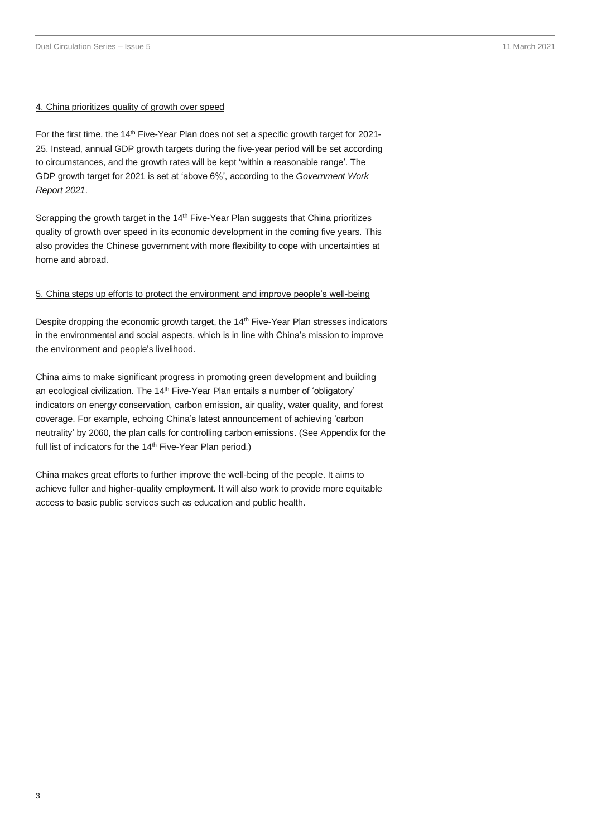#### 4. China prioritizes quality of growth over speed

For the first time, the 14<sup>th</sup> Five-Year Plan does not set a specific growth target for 2021-25. Instead, annual GDP growth targets during the five-year period will be set according to circumstances, and the growth rates will be kept 'within a reasonable range'. The GDP growth target for 2021 is set at 'above 6%', according to the *Government Work Report 2021*.

Scrapping the growth target in the 14<sup>th</sup> Five-Year Plan suggests that China prioritizes quality of growth over speed in its economic development in the coming five years. This also provides the Chinese government with more flexibility to cope with uncertainties at home and abroad.

#### 5. China steps up efforts to protect the environment and improve people's well-being

Despite dropping the economic growth target, the 14<sup>th</sup> Five-Year Plan stresses indicators in the environmental and social aspects, which is in line with China's mission to improve the environment and people's livelihood.

China aims to make significant progress in promoting green development and building an ecological civilization. The 14<sup>th</sup> Five-Year Plan entails a number of 'obligatory' indicators on energy conservation, carbon emission, air quality, water quality, and forest coverage. For example, echoing China's latest announcement of achieving 'carbon neutrality' by 2060, the plan calls for controlling carbon emissions. (See Appendix for the full list of indicators for the 14<sup>th</sup> Five-Year Plan period.)

China makes great efforts to further improve the well-being of the people. It aims to achieve fuller and higher-quality employment. It will also work to provide more equitable access to basic public services such as education and public health.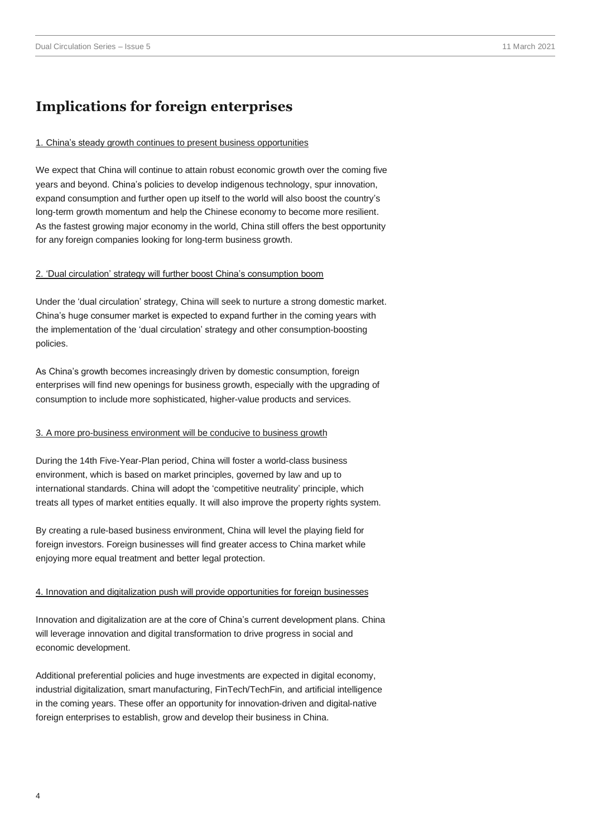### **Implications for foreign enterprises**

#### 1. China's steady growth continues to present business opportunities

We expect that China will continue to attain robust economic growth over the coming five years and beyond. China's policies to develop indigenous technology, spur innovation, expand consumption and further open up itself to the world will also boost the country's long-term growth momentum and help the Chinese economy to become more resilient. As the fastest growing major economy in the world, China still offers the best opportunity for any foreign companies looking for long-term business growth.

#### 2. 'Dual circulation' strategy will further boost China's consumption boom

Under the 'dual circulation' strategy, China will seek to nurture a strong domestic market. China's huge consumer market is expected to expand further in the coming years with the implementation of the 'dual circulation' strategy and other consumption-boosting policies.

As China's growth becomes increasingly driven by domestic consumption, foreign enterprises will find new openings for business growth, especially with the upgrading of consumption to include more sophisticated, higher-value products and services.

#### 3. A more pro-business environment will be conducive to business growth

During the 14th Five-Year-Plan period, China will foster a world-class business environment, which is based on market principles, governed by law and up to international standards. China will adopt the 'competitive neutrality' principle, which treats all types of market entities equally. It will also improve the property rights system.

By creating a rule-based business environment, China will level the playing field for foreign investors. Foreign businesses will find greater access to China market while enjoying more equal treatment and better legal protection.

#### 4. Innovation and digitalization push will provide opportunities for foreign businesses

Innovation and digitalization are at the core of China's current development plans. China will leverage innovation and digital transformation to drive progress in social and economic development.

Additional preferential policies and huge investments are expected in digital economy, industrial digitalization, smart manufacturing, FinTech/TechFin, and artificial intelligence in the coming years. These offer an opportunity for innovation-driven and digital-native foreign enterprises to establish, grow and develop their business in China.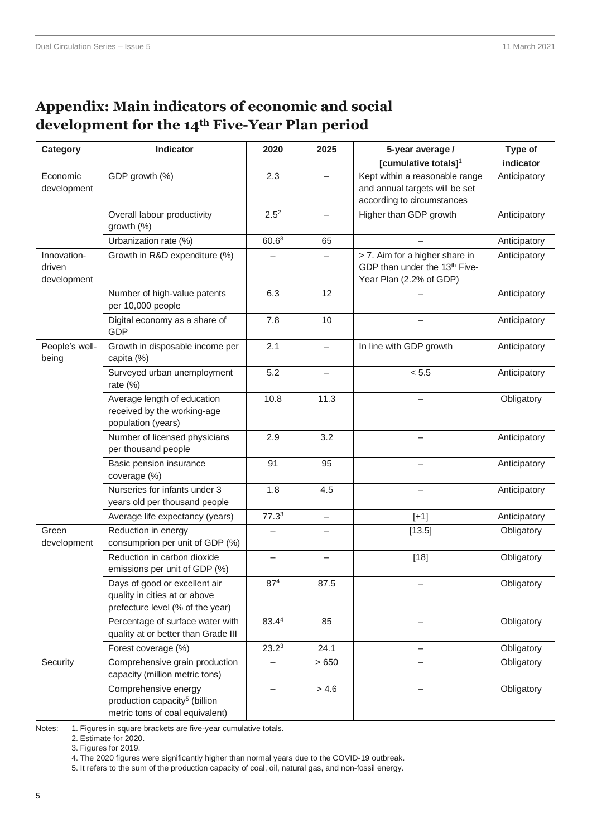# **Appendix: Main indicators of economic and social development for the 14th Five-Year Plan period**

| Category                             | Indicator                                                                                            | 2020              | 2025                     | 5-year average /                                                                                       | Type of      |
|--------------------------------------|------------------------------------------------------------------------------------------------------|-------------------|--------------------------|--------------------------------------------------------------------------------------------------------|--------------|
|                                      |                                                                                                      |                   |                          | [cumulative totals] <sup>1</sup>                                                                       | indicator    |
| Economic<br>development              | GDP growth (%)                                                                                       | 2.3               |                          | Kept within a reasonable range<br>and annual targets will be set<br>according to circumstances         | Anticipatory |
|                                      | Overall labour productivity<br>growth (%)                                                            | $2.5^{2}$         |                          | Higher than GDP growth                                                                                 | Anticipatory |
|                                      | Urbanization rate (%)                                                                                | 60.6 <sup>3</sup> | 65                       | $\overline{\phantom{0}}$                                                                               | Anticipatory |
| Innovation-<br>driven<br>development | Growth in R&D expenditure (%)                                                                        |                   |                          | > 7. Aim for a higher share in<br>GDP than under the 13 <sup>th</sup> Five-<br>Year Plan (2.2% of GDP) | Anticipatory |
|                                      | Number of high-value patents<br>per 10,000 people                                                    | 6.3               | 12                       |                                                                                                        | Anticipatory |
|                                      | Digital economy as a share of<br>GDP                                                                 | 7.8               | 10                       |                                                                                                        | Anticipatory |
| People's well-<br>being              | Growth in disposable income per<br>capita (%)                                                        | 2.1               | $\overline{\phantom{0}}$ | In line with GDP growth                                                                                | Anticipatory |
|                                      | Surveyed urban unemployment<br>rate (%)                                                              | 5.2               |                          | < 5.5                                                                                                  | Anticipatory |
|                                      | Average length of education<br>received by the working-age<br>population (years)                     | 10.8              | 11.3                     |                                                                                                        | Obligatory   |
|                                      | Number of licensed physicians<br>per thousand people                                                 | 2.9               | 3.2                      | $\overline{\phantom{0}}$                                                                               | Anticipatory |
|                                      | Basic pension insurance<br>coverage (%)                                                              | 91                | 95                       |                                                                                                        | Anticipatory |
|                                      | Nurseries for infants under 3<br>years old per thousand people                                       | 1.8               | 4.5                      | $\overline{\phantom{0}}$                                                                               | Anticipatory |
|                                      | Average life expectancy (years)                                                                      | 77.3 <sup>3</sup> |                          | $[+1]$                                                                                                 | Anticipatory |
| Green<br>development                 | Reduction in energy<br>consumprion per unit of GDP (%)                                               |                   |                          | [13.5]                                                                                                 | Obligatory   |
|                                      | Reduction in carbon dioxide<br>emissions per unit of GDP (%)                                         |                   |                          | $[18]$                                                                                                 | Obligatory   |
|                                      | Days of good or excellent air<br>quality in cities at or above<br>prefecture level (% of the year)   | 87 <sup>4</sup>   | 87.5                     |                                                                                                        | Obligatory   |
|                                      | Percentage of surface water with<br>quality at or better than Grade III                              | 83.44             | 85                       |                                                                                                        | Obligatory   |
|                                      | Forest coverage (%)                                                                                  | $23.2^3$          | 24.1                     |                                                                                                        | Obligatory   |
| Security                             | Comprehensive grain production<br>capacity (million metric tons)                                     |                   | >650                     |                                                                                                        | Obligatory   |
|                                      | Comprehensive energy<br>production capacity <sup>5</sup> (billion<br>metric tons of coal equivalent) |                   | > 4.6                    |                                                                                                        | Obligatory   |

Notes: 1. Figures in square brackets are five-year cumulative totals.

2. Estimate for 2020.

3. Figures for 2019.

4. The 2020 figures were significantly higher than normal years due to the COVID-19 outbreak.

5. It refers to the sum of the production capacity of coal, oil, natural gas, and non-fossil energy.